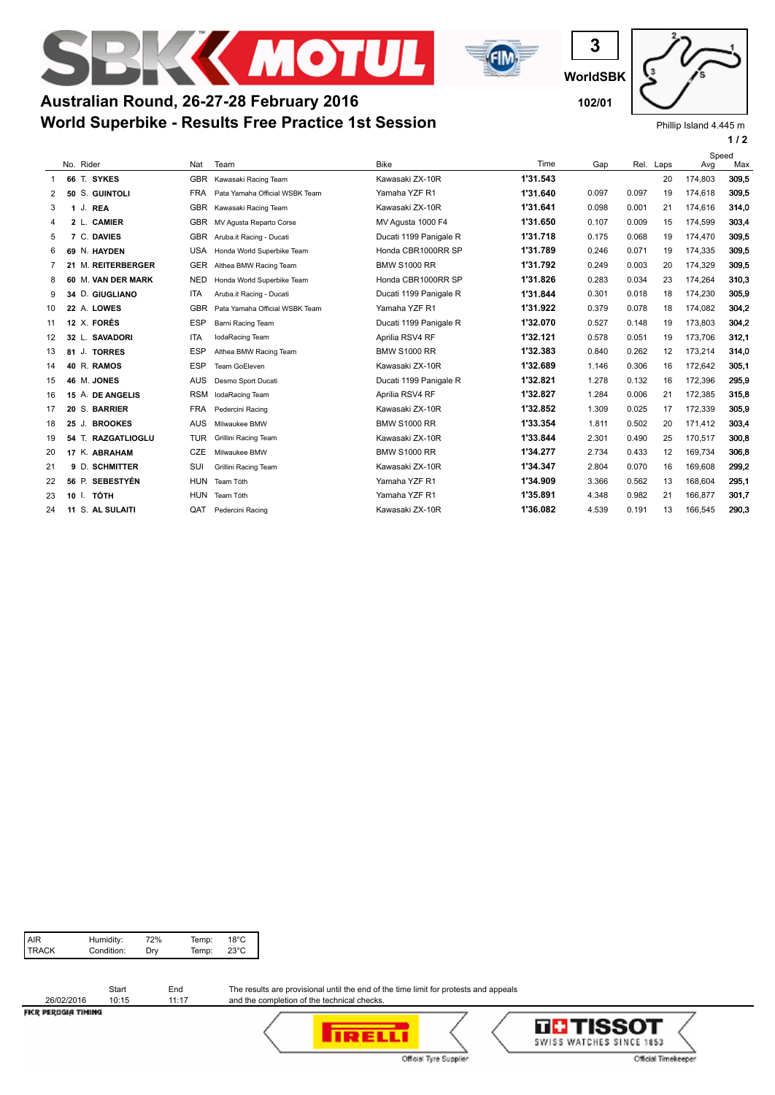





Phillip Island 4.445 m

**1 / 2**

|                |                       |            |                                |                        |          |       |       |      | Speed   |       |
|----------------|-----------------------|------------|--------------------------------|------------------------|----------|-------|-------|------|---------|-------|
|                | No. Rider             | Nat        | Team                           | <b>Bike</b>            | Time     | Gap   | Rel.  | Laps | Avg     | Max   |
| 1              | 66 T. SYKES           | <b>GBR</b> | Kawasaki Racing Team           | Kawasaki ZX-10R        | 1'31.543 |       |       | 20   | 174,803 | 309.5 |
| 2              | 50 S. GUINTOLI        | <b>FRA</b> | Pata Yamaha Official WSBK Team | Yamaha YZF R1          | 1'31.640 | 0.097 | 0.097 | 19   | 174,618 | 309.5 |
| 3              | J. REA<br>1           | <b>GBR</b> | Kawasaki Racing Team           | Kawasaki ZX-10R        | 1'31.641 | 0.098 | 0.001 | 21   | 174.616 | 314,0 |
| 4              | <b>CAMIER</b><br>2 L. | <b>GBR</b> | MV Agusta Reparto Corse        | MV Agusta 1000 F4      | 1'31.650 | 0.107 | 0.009 | 15   | 174,599 | 303.4 |
| 5              | C. DAVIES<br>7        | <b>GBR</b> | Aruba.it Racing - Ducati       | Ducati 1199 Panigale R | 1'31.718 | 0.175 | 0.068 | 19   | 174,470 | 309.5 |
| 6              | 69 N. HAYDEN          | <b>USA</b> | Honda World Superbike Team     | Honda CBR1000RR SP     | 1'31.789 | 0.246 | 0.071 | 19   | 174,335 | 309.5 |
| $\overline{7}$ | 21 M. REITERBERGER    | <b>GER</b> | Althea BMW Racing Team         | <b>BMW S1000 RR</b>    | 1'31.792 | 0.249 | 0.003 | 20   | 174.329 | 309.5 |
| 8              | 60 M. VAN DER MARK    | <b>NED</b> | Honda World Superbike Team     | Honda CBR1000RR SP     | 1'31.826 | 0.283 | 0.034 | 23   | 174,264 | 310.3 |
| 9              | 34 D. GIUGLIANO       | <b>ITA</b> | Aruba.it Racing - Ducati       | Ducati 1199 Panigale R | 1'31.844 | 0.301 | 0.018 | 18   | 174,230 | 305.9 |
| 10             | 22 A. LOWES           | <b>GBR</b> | Pata Yamaha Official WSBK Team | Yamaha YZF R1          | 1'31.922 | 0.379 | 0.078 | 18   | 174,082 | 304,2 |
| 11             | 12 X. FORÉS           | <b>ESP</b> | Barni Racing Team              | Ducati 1199 Panigale R | 1'32.070 | 0.527 | 0.148 | 19   | 173,803 | 304,2 |
| 12             | 32 L. SAVADORI        | <b>ITA</b> | IodaRacing Team                | Aprilia RSV4 RF        | 1'32.121 | 0.578 | 0.051 | 19   | 173.706 | 312.1 |
| 13             | 81 J. TORRES          | <b>ESP</b> | Althea BMW Racing Team         | <b>BMW S1000 RR</b>    | 1'32.383 | 0.840 | 0.262 | 12   | 173,214 | 314,0 |
| 14             | 40 R. RAMOS           | <b>ESP</b> | Team GoEleven                  | Kawasaki ZX-10R        | 1'32.689 | 1.146 | 0.306 | 16   | 172,642 | 305.1 |
| 15             | 46 M. JONES           | <b>AUS</b> | Desmo Sport Ducati             | Ducati 1199 Panigale R | 1'32.821 | 1.278 | 0.132 | 16   | 172,396 | 295.9 |
| 16             | 15 A. DE ANGELIS      | <b>RSM</b> | IodaRacing Team                | Aprilia RSV4 RF        | 1'32.827 | 1.284 | 0.006 | 21   | 172,385 | 315.8 |
| 17             | 20 S. BARRIER         | <b>FRA</b> | Pedercini Racing               | Kawasaki ZX-10R        | 1'32.852 | 1.309 | 0.025 | 17   | 172,339 | 305.9 |
| 18             | 25 J. BROOKES         | <b>AUS</b> | Milwaukee BMW                  | <b>BMW S1000 RR</b>    | 1'33.354 | 1.811 | 0.502 | 20   | 171,412 | 303,4 |
| 19             | 54 T. RAZGATLIOGLU    | <b>TUR</b> | <b>Grillini Racing Team</b>    | Kawasaki ZX-10R        | 1'33.844 | 2.301 | 0.490 | 25   | 170.517 | 300.8 |
| 20             | 17 K. ABRAHAM         | CZE        | Milwaukee BMW                  | <b>BMW S1000 RR</b>    | 1'34.277 | 2.734 | 0.433 | 12   | 169,734 | 306.8 |
| 21             | 9 D. SCHMITTER        | SUI        | Grillini Racing Team           | Kawasaki ZX-10R        | 1'34.347 | 2.804 | 0.070 | 16   | 169,608 | 299.2 |
| 22             | 56 P. SEBESTYÉN       | <b>HUN</b> | Team Tóth                      | Yamaha YZF R1          | 1'34.909 | 3.366 | 0.562 | 13   | 168.604 | 295.1 |
| 23             | 10 I. TÓTH            | <b>HUN</b> | Team Tóth                      | Yamaha YZF R1          | 1'35.891 | 4.348 | 0.982 | 21   | 166,877 | 301,7 |
| 24             | 11 S. AL SULAITI      | QAT        | Pedercini Racing               | Kawasaki ZX-10R        | 1'36.082 | 4.539 | 0.191 | 13   | 166,545 | 290.3 |

| AIR<br>TRACK<br>72%<br>Humidity:<br>Temp:<br>$18^{\circ}$ C<br>$23^{\circ}$ C<br>Condition:<br>Temp:<br>Dry |  |
|-------------------------------------------------------------------------------------------------------------|--|
|-------------------------------------------------------------------------------------------------------------|--|

|             | Start | End   |  |
|-------------|-------|-------|--|
| 26/02/2016  | 10:15 | 11:17 |  |
| --- --- - - |       |       |  |

The results are provisional until the end of the time limit for protests and appeals and the completion of the technical checks.

**TRELLI** Official Tyre Supplier